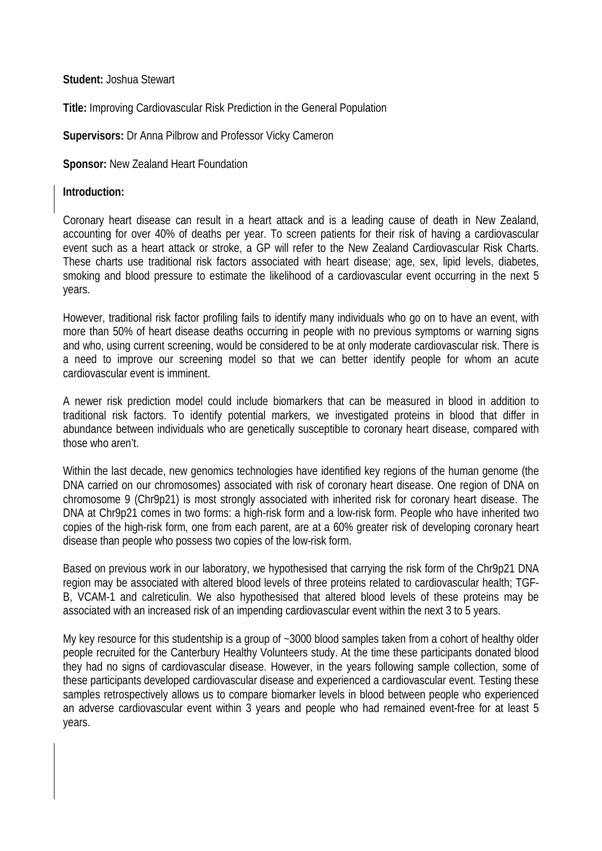#### **Student:** Joshua Stewart

**Title:** Improving Cardiovascular Risk Prediction in the General Population

**Supervisors:** Dr Anna Pilbrow and Professor Vicky Cameron

**Sponsor: New Zealand Heart Foundation** 

#### **Introduction:**

Coronary heart disease can result in a heart attack and is a leading cause of death in New Zealand, accounting for over 40% of deaths per year. To screen patients for their risk of having a cardiovascular event such as a heart attack or stroke, a GP will refer to the New Zealand Cardiovascular Risk Charts. These charts use traditional risk factors associated with heart disease; age, sex, lipid levels, diabetes, smoking and blood pressure to estimate the likelihood of a cardiovascular event occurring in the next 5 years.

However, traditional risk factor profiling fails to identify many individuals who go on to have an event, with more than 50% of heart disease deaths occurring in people with no previous symptoms or warning signs and who, using current screening, would be considered to be at only moderate cardiovascular risk. There is a need to improve our screening model so that we can better identify people for whom an acute cardiovascular event is imminent.

A newer risk prediction model could include biomarkers that can be measured in blood in addition to traditional risk factors. To identify potential markers, we investigated proteins in blood that differ in abundance between individuals who are genetically susceptible to coronary heart disease, compared with those who aren't.

Within the last decade, new genomics technologies have identified key regions of the human genome (the DNA carried on our chromosomes) associated with risk of coronary heart disease. One region of DNA on chromosome 9 (Chr9p21) is most strongly associated with inherited risk for coronary heart disease. The DNA at Chr9p21 comes in two forms: a high-risk form and a low-risk form. People who have inherited two copies of the high-risk form, one from each parent, are at a 60% greater risk of developing coronary heart disease than people who possess two copies of the low-risk form.

Based on previous work in our laboratory, we hypothesised that carrying the risk form of the Chr9p21 DNA region may be associated with altered blood levels of three proteins related to cardiovascular health; TGF-B, VCAM-1 and calreticulin. We also hypothesised that altered blood levels of these proteins may be associated with an increased risk of an impending cardiovascular event within the next 3 to 5 years.

My key resource for this studentship is a group of ~3000 blood samples taken from a cohort of healthy older people recruited for the Canterbury Healthy Volunteers study. At the time these participants donated blood they had no signs of cardiovascular disease. However, in the years following sample collection, some of these participants developed cardiovascular disease and experienced a cardiovascular event. Testing these samples retrospectively allows us to compare biomarker levels in blood between people who experienced an adverse cardiovascular event within 3 years and people who had remained event-free for at least 5 years.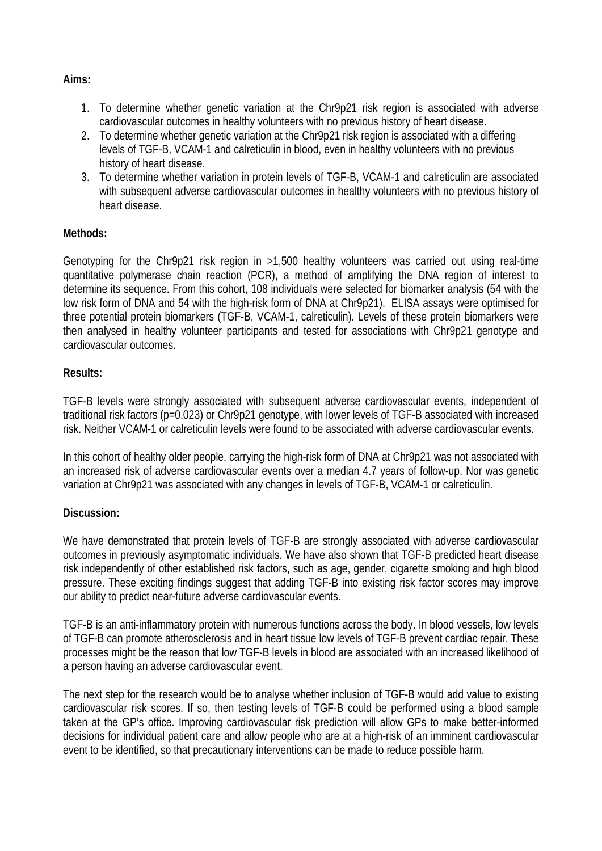**Aims:**

- 1. To determine whether genetic variation at the Chr9p21 risk region is associated with adverse cardiovascular outcomes in healthy volunteers with no previous history of heart disease.
- 2. To determine whether genetic variation at the Chr9p21 risk region is associated with a differing levels of TGF-B, VCAM-1 and calreticulin in blood, even in healthy volunteers with no previous history of heart disease.
- 3. To determine whether variation in protein levels of TGF-B, VCAM-1 and calreticulin are associated with subsequent adverse cardiovascular outcomes in healthy volunteers with no previous history of heart disease.

## **Methods:**

Genotyping for the Chr9p21 risk region in >1,500 healthy volunteers was carried out using real-time quantitative polymerase chain reaction (PCR), a method of amplifying the DNA region of interest to determine its sequence. From this cohort, 108 individuals were selected for biomarker analysis (54 with the low risk form of DNA and 54 with the high-risk form of DNA at Chr9p21). ELISA assays were optimised for three potential protein biomarkers (TGF-B, VCAM-1, calreticulin). Levels of these protein biomarkers were then analysed in healthy volunteer participants and tested for associations with Chr9p21 genotype and cardiovascular outcomes.

## **Results:**

TGF-B levels were strongly associated with subsequent adverse cardiovascular events, independent of traditional risk factors (p=0.023) or Chr9p21 genotype, with lower levels of TGF-B associated with increased risk. Neither VCAM-1 or calreticulin levels were found to be associated with adverse cardiovascular events.

In this cohort of healthy older people, carrying the high-risk form of DNA at Chr9p21 was not associated with an increased risk of adverse cardiovascular events over a median 4.7 years of follow-up. Nor was genetic variation at Chr9p21 was associated with any changes in levels of TGF-B, VCAM-1 or calreticulin.

# **Discussion:**

We have demonstrated that protein levels of TGF-B are strongly associated with adverse cardiovascular outcomes in previously asymptomatic individuals. We have also shown that TGF-B predicted heart disease risk independently of other established risk factors, such as age, gender, cigarette smoking and high blood pressure. These exciting findings suggest that adding TGF-B into existing risk factor scores may improve our ability to predict near-future adverse cardiovascular events.

TGF-B is an anti-inflammatory protein with numerous functions across the body. In blood vessels, low levels of TGF-B can promote atherosclerosis and in heart tissue low levels of TGF-B prevent cardiac repair. These processes might be the reason that low TGF-B levels in blood are associated with an increased likelihood of a person having an adverse cardiovascular event.

The next step for the research would be to analyse whether inclusion of TGF-B would add value to existing cardiovascular risk scores. If so, then testing levels of TGF-B could be performed using a blood sample taken at the GP's office. Improving cardiovascular risk prediction will allow GPs to make better-informed decisions for individual patient care and allow people who are at a high-risk of an imminent cardiovascular event to be identified, so that precautionary interventions can be made to reduce possible harm.